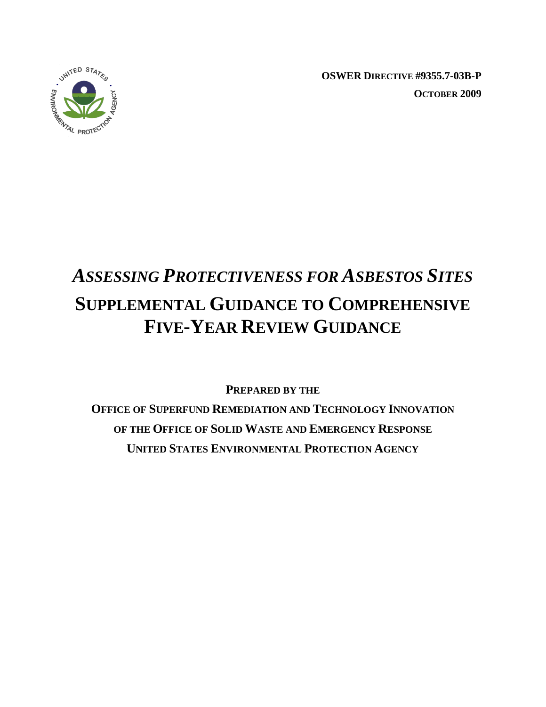

**OSWER DIRECTIVE #9355.7-03B-P OCTOBER 2009** 

# *ASSESSING PROTECTIVENESS FOR ASBESTOS SITES*  **SUPPLEMENTAL GUIDANCE TO COMPREHENSIVE FIVE-YEAR REVIEW GUIDANCE**

**PREPARED BY THE**

**OFFICE OF SUPERFUND REMEDIATION AND TECHNOLOGY INNOVATION OF THE OFFICE OF SOLID WASTE AND EMERGENCY RESPONSE UNITED STATES ENVIRONMENTAL PROTECTION AGENCY**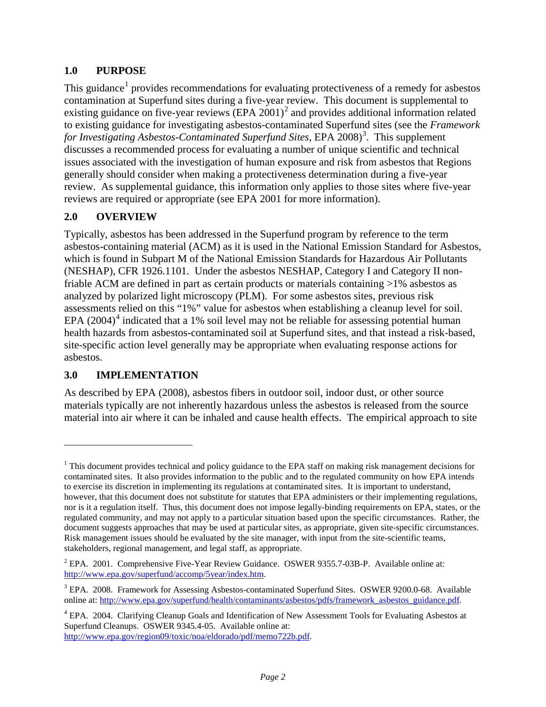## **1.0 PURPOSE**

This guidance<sup>[1](#page-1-0)</sup> provides recommendations for evaluating protectiveness of a remedy for asbestos contamination at Superfund sites during a five-year review. This document is supplemental to existing guidance on five-year reviews  $(EPA 2001)^2$  $(EPA 2001)^2$  $(EPA 2001)^2$  and provides additional information related discusses a recommended process for evaluating a number of unique scientific and technical generally should consider when making a protectiveness determination during a five-year review. As supplemental guidance, this information only applies to those sites where five-year to existing guidance for investigating asbestos-contaminated Superfund sites (see the *Framework*  for Investigating Asbestos-Contaminated Superfund Sites, EPA 2008)<sup>[3](#page-1-2)</sup>. This supplement issues associated with the investigation of human exposure and risk from asbestos that Regions reviews are required or appropriate (see EPA 2001 for more information).

### **2.0 OVERVIEW**

 (NESHAP), CFR 1926.1101. Under the asbestos NESHAP, Category I and Category II non- analyzed by polarized light microscopy (PLM). For some asbestos sites, previous risk assessments relied on this "1%" value for asbestos when establishing a cleanup level for soil. EPA  $(2004)^4$  $(2004)^4$  $(2004)^4$  indicated that a 1% soil level may not be reliable for assessing potential human Typically, asbestos has been addressed in the Superfund program by reference to the term asbestos-containing material (ACM) as it is used in the National Emission Standard for Asbestos, which is found in Subpart M of the National Emission Standards for Hazardous Air Pollutants friable ACM are defined in part as certain products or materials containing >1% asbestos as health hazards from asbestos-contaminated soil at Superfund sites, and that instead a risk-based, site-specific action level generally may be appropriate when evaluating response actions for asbestos.

#### **3.0 IMPLEMENTATION**

 $\overline{a}$ 

 As described by EPA (2008), asbestos fibers in outdoor soil, indoor dust, or other source materials typically are not inherently hazardous unless the asbestos is released from the source material into air where it can be inhaled and cause health effects. The empirical approach to site

<span id="page-1-0"></span> $1$  This document provides technical and policy guidance to the EPA staff on making risk management decisions for Risk management issues should be evaluated by the site manager, with input from the site-scientific teams, stakeholders, regional management, and legal staff, as appropriate. contaminated sites. It also provides information to the public and to the regulated community on how EPA intends to exercise its discretion in implementing its regulations at contaminated sites. It is important to understand, however, that this document does not substitute for statutes that EPA administers or their implementing regulations, nor is it a regulation itself. Thus, this document does not impose legally-binding requirements on EPA, states, or the regulated community, and may not apply to a particular situation based upon the specific circumstances. Rather, the document suggests approaches that may be used at particular sites, as appropriate, given site-specific circumstances.

<span id="page-1-1"></span><sup>&</sup>lt;sup>2</sup> EPA. 2001. Comprehensive Five-Year Review Guidance. OSWER 9355.7-03B-P. Available online at: [http://www.epa.gov/superfund/accomp/5year/index.htm.](http://www.epa.gov/superfund/accomp/5year/index.htm)

<span id="page-1-2"></span><sup>&</sup>lt;sup>3</sup> EPA. 2008. Framework for Assessing Asbestos-contaminated Superfund Sites. OSWER 9200.0-68. Available online at: [http://www.epa.gov/superfund/health/contaminants/asbestos/pdfs/framework\\_asbestos\\_guidance.pdf.](http://www.epa.gov/superfund/health/contaminants/asbestos/pdfs/framework_asbestos_guidance.pdf) 

<span id="page-1-3"></span><sup>4</sup> EPA. 2004. Clarifying Cleanup Goals and Identification of New Assessment Tools for Evaluating Asbestos at Superfund Cleanups. OSWER 9345.4-05. Available online at: [http://www.epa.gov/region09/toxic/noa/eldorado/pdf/memo722b.pdf.](http://www.epa.gov/region09/toxic/noa/eldorado/pdf/memo722b.pdf)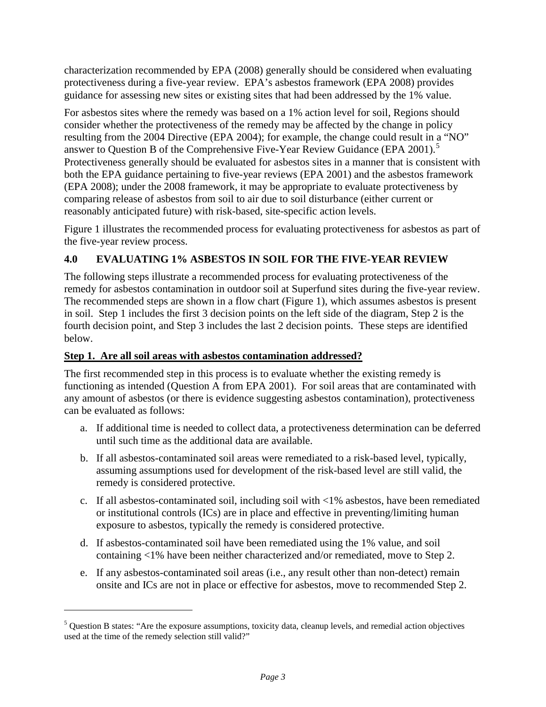protectiveness during a five-year review. EPA's asbestos framework (EPA 2008) provides guidance for assessing new sites or existing sites that had been addressed by the 1% value. characterization recommended by EPA (2008) generally should be considered when evaluating

 consider whether the protectiveness of the remedy may be affected by the change in policy answer to Question B of the Comprehensive Five-Year Review Guidance (EPA 2001).<sup>[5](#page-2-0)</sup> Protectiveness generally should be evaluated for asbestos sites in a manner that is consistent with For asbestos sites where the remedy was based on a 1% action level for soil, Regions should resulting from the 2004 Directive (EPA 2004); for example, the change could result in a "NO" both the EPA guidance pertaining to five-year reviews (EPA 2001) and the asbestos framework (EPA 2008); under the 2008 framework, it may be appropriate to evaluate protectiveness by comparing release of asbestos from soil to air due to soil disturbance (either current or reasonably anticipated future) with risk-based, site-specific action levels.

 Figure 1 illustrates the recommended process for evaluating protectiveness for asbestos as part of the five-year review process.

## **4.0 EVALUATING 1% ASBESTOS IN SOIL FOR THE FIVE-YEAR REVIEW**

 The following steps illustrate a recommended process for evaluating protectiveness of the The recommended steps are shown in a flow chart (Figure 1), which assumes asbestos is present fourth decision point, and Step 3 includes the last 2 decision points. These steps are identified remedy for asbestos contamination in outdoor soil at Superfund sites during the five-year review. in soil. Step 1 includes the first 3 decision points on the left side of the diagram, Step 2 is the below.

## **Step 1. Are all soil areas with asbestos contamination addressed?**

 $\overline{a}$ 

The first recommended step in this process is to evaluate whether the existing remedy is functioning as intended (Question A from EPA 2001). For soil areas that are contaminated with any amount of asbestos (or there is evidence suggesting asbestos contamination), protectiveness can be evaluated as follows:

- a. If additional time is needed to collect data, a protectiveness determination can be deferred until such time as the additional data are available.
- b. If all asbestos-contaminated soil areas were remediated to a risk-based level, typically, assuming assumptions used for development of the risk-based level are still valid, the remedy is considered protective.
- exposure to asbestos, typically the remedy is considered protective. c. If all asbestos-contaminated soil, including soil with  $\langle 1\%$  asbestos, have been remediated or institutional controls (ICs) are in place and effective in preventing/limiting human
- d. If asbestos-contaminated soil have been remediated using the 1% value, and soil containing <1% have been neither characterized and/or remediated, move to Step 2.
- e. If any asbestos-contaminated soil areas (i.e., any result other than non-detect) remain onsite and ICs are not in place or effective for asbestos, move to recommended Step 2.

<span id="page-2-0"></span> $<sup>5</sup>$  Question B states: "Are the exposure assumptions, toxicity data, cleanup levels, and remedial action objectives</sup> used at the time of the remedy selection still valid?"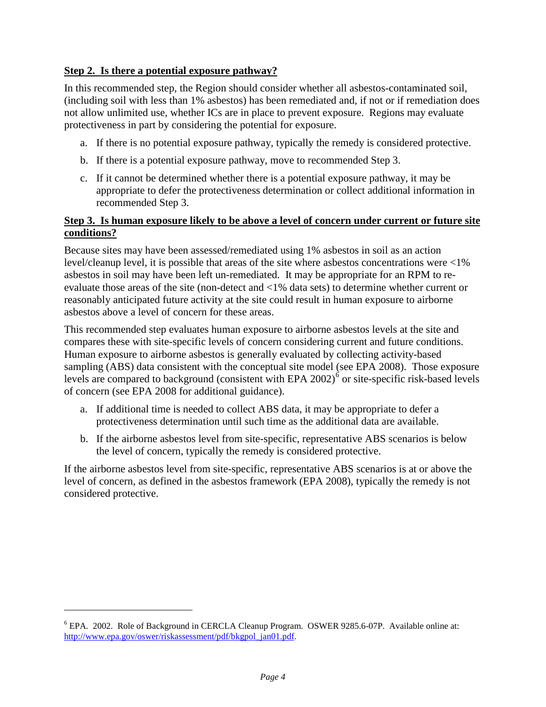### **Step 2. Is there a potential exposure pathway?**

 (including soil with less than 1% asbestos) has been remediated and, if not or if remediation does not allow unlimited use, whether ICs are in place to prevent exposure. Regions may evaluate protectiveness in part by considering the potential for exposure. In this recommended step, the Region should consider whether all asbestos-contaminated soil,

- a. If there is no potential exposure pathway, typically the remedy is considered protective.
- b. If there is a potential exposure pathway, move to recommended Step 3.
- c. If it cannot be determined whether there is a potential exposure pathway, it may be recommended Step 3. appropriate to defer the protectiveness determination or collect additional information in

#### **Step 3. Is human exposure likely to be above a level of concern under current or future site conditions?**

 evaluate those areas of the site (non-detect and <1% data sets) to determine whether current or asbestos above a level of concern for these areas. Because sites may have been assessed/remediated using 1% asbestos in soil as an action level/cleanup level, it is possible that areas of the site where asbestos concentrations were <1% asbestos in soil may have been left un-remediated. It may be appropriate for an RPM to rereasonably anticipated future activity at the site could result in human exposure to airborne

 compares these with site-specific levels of concern considering current and future conditions. of concern (see EPA 2008 for additional guidance). This recommended step evaluates human exposure to airborne asbestos levels at the site and Human exposure to airborne asbestos is generally evaluated by collecting activity-based sampling (ABS) data consistent with the conceptual site model (see EPA 2008). Those exposure levels are compared to background (consistent with EPA  $2002$ )<sup>6</sup> or site-specific risk-based levels

- a. If additional time is needed to collect ABS data, it may be appropriate to defer a protectiveness determination until such time as the additional data are available.
- b. If the airborne asbestos level from site-specific, representative ABS scenarios is below the level of concern, typically the remedy is considered protective.

 If the airborne asbestos level from site-specific, representative ABS scenarios is at or above the level of concern, as defined in the asbestos framework (EPA 2008), typically the remedy is not considered protective.

-

<span id="page-3-0"></span><sup>&</sup>lt;sup>6</sup> EPA. 2002. Role of Background in CERCLA Cleanup Program. OSWER 9285.6-07P. Available online at: [http://www.epa.gov/oswer/riskassessment/pdf/bkgpol\\_jan01.pdf.](http://www.epa.gov/oswer/riskassessment/pdf/bkgpol_jan01.pdf)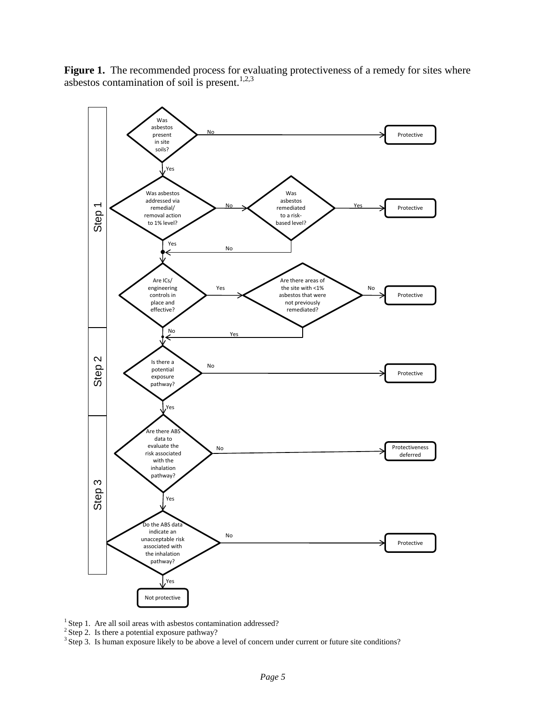Figure 1. The recommended process for evaluating protectiveness of a remedy for sites where asbestos contamination of soil is present. $1,2,3$ 



<sup>1</sup> Step 1. Are all soil areas with asbestos contamination addressed? <sup>1</sup> Step 1. Are all soil areas with asbestos contamination addressed?<br><sup>2</sup> Step 2. Is there a potential exposure pathway?

 $3$  Step 2. Is there a potential exposure pathway?<br> $3$  Step 3. Is human exposure likely to be above a level of concern under current or future site conditions?